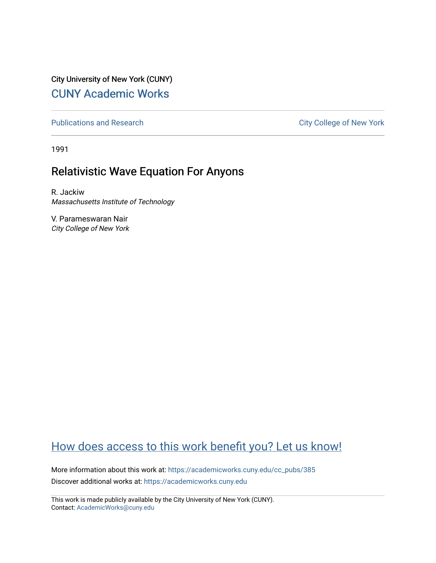City University of New York (CUNY) [CUNY Academic Works](https://academicworks.cuny.edu/) 

[Publications and Research](https://academicworks.cuny.edu/cc_pubs) **City College of New York** Publications and Research

1991

# Relativistic Wave Equation For Anyons

R. Jackiw Massachusetts Institute of Technology

V. Parameswaran Nair City College of New York

# [How does access to this work benefit you? Let us know!](http://ols.cuny.edu/academicworks/?ref=https://academicworks.cuny.edu/cc_pubs/385)

More information about this work at: [https://academicworks.cuny.edu/cc\\_pubs/385](https://academicworks.cuny.edu/cc_pubs/385)  Discover additional works at: [https://academicworks.cuny.edu](https://academicworks.cuny.edu/?)

This work is made publicly available by the City University of New York (CUNY). Contact: [AcademicWorks@cuny.edu](mailto:AcademicWorks@cuny.edu)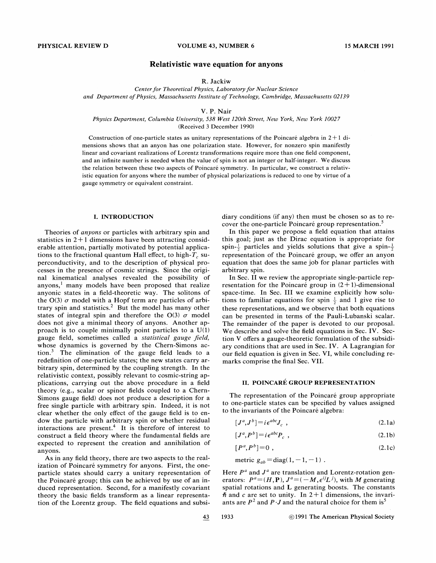# Relativistic wave equation for anyons

# R. Jackiw

Center for Theoretical Physics, Laboratory for Nuclear Science and Department of Physics, Massachusetts Institute of Technology, Cambridge, Massachusetts 02139

#### V. P. Nair

### Physics Department, Columbia University, 538 West 120th Street, New York, New York 10027 (Received 3 December 1990)

Construction of one-particle states as unitary representations of the Poincaré algebra in  $2+1$  dimensions shows that an anyon has one polarization state. However, for nonzero spin manifestly linear and covariant realizations of Lorentz transformations require more than one field component, and an infinite number is needed when the value of spin is not an integer or half-integer. We discuss the relation between these two aspects of Poincare symmetry. In particular, we construct a relativistic equation for anyons where the number of physical polarizations is reduced to one by virtue of a gauge symmetry or equivalent constraint.

## I. INTRODUCTION

Theories of anyons or particles with arbitrary spin and statistics in  $2+1$  dimensions have been attracting considerable attention, partially motivated by potential applications to the fractional quantum Hall effect, to high- $T_c$  superconductivity, and to the description of physical processes in the presence of cosmic strings. Since the original kinematical analyses revealed the possibility of anyons, $<sup>1</sup>$  many models have been proposed that realize</sup> anyonic states in a field-theoretic way. The solitons of the  $O(3)$   $\sigma$  model with a Hopf term are particles of arbitrary spin and statistics.<sup>2</sup> But the model has many other states of integral spin and therefore the O(3)  $\sigma$  model does not give a minimal theory of anyons. Another approach is to couple minimally point particles to a U(1) gauge field, sometimes called a statistical gauge field, whose dynamics is governed by the Chem-Simons ac $t$ ion. $3$  The elimination of the gauge field leads to a redefinition of one-particle states; the new states carry arbitrary spin, determined by the coupling strength. In the relativistic context, possibly relevant to cosmic-string applications, carrying out the above procedure in a field theory (e.g., scalar or spinor fields coupled to a Chern-Simons gauge field) does not produce a description for a free single particle with arbitrary spin. Indeed, it is not clear whether the only effect of the gauge field is to endow the particle with arbitrary spin or whether residual interactions are present.<sup>4</sup> It is therefore of interest to construct a field theory where the fundamental fields are expected to represent the creation and annihilation of anyons.

As in any field theory, there are two aspects to the realization of Poincaré symmetry for anyons. First, the oneparticle states should carry a unitary representation of the Poincaré group; this can be achieved by use of an induced representation. Second, for a manifestly covariant theory the basic fields transform as a linear representation of the Lorentz group. The field equations and subsidiary conditions (if any) then must be chosen so as to recover the one-particle Poincaré group representation.<sup>5</sup>

In this paper we propose a field equation that attains this goal; just as the Dirac equation is appropriate for spin- $\frac{1}{2}$  particles and yields solutions that give a spin- $\frac{1}{2}$ representation of the Poincaré group, we offer an anyon equation that does the same job for planar particles with arbitrary spin.

In Sec. II we review the appropriate single-particle representation for the Poincaré group in  $(2+1)$ -dimensional space-time. In Sec. III we examine explicitly how solutions to familiar equations for spin  $\frac{1}{2}$  and 1 give rise to these representations, and we observe that both equations can be presented in terms of the Pauli-Lubanski scalar. The remainder of the paper is devoted to our proposal. We describe and solve the field equations in Sec. IV. Section V offers a gauge-theoretic formulation of the subsidiary conditions that are used in Sec. IV. A Lagrangian for our field equation is given in Sec. VI, while concluding remarks comprise the final Sec. VII.

## II. POINCARE GROUP REPRESENTATION

The representation of the Poincaré group appropriate to one-particle states can be specified by values assigned to the invariants of the Poincaré algebra:

$$
[J^a, J^b] = i\epsilon^{abc} J_c \t{,} \t(2.1a)
$$

$$
[J^a, P^b] = i\epsilon^{abc}P_c \t\t(2.1b)
$$

$$
[P^a, P^b] = 0 \tag{2.1c}
$$

metric  $g_{ab} = \text{diag}(1, -1, -1)$ .

Here  $P<sup>a</sup>$  and  $J<sup>a</sup>$  are translation and Lorentz-rotation generators:  $P^a = (H, \mathbf{P}), J^a = (-M, \epsilon^{ij}L^j)$ , with M generating spatial rotations and L generating boosts. The constants  $\hbar$  and c are set to unity. In 2+1 dimensions, the invariants are  $P^2$  and  $P \cdot J$  and the natural choice for them is<sup>5</sup>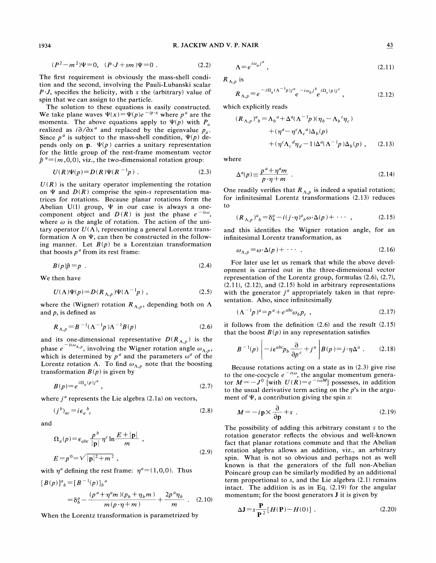1934 R. JACKIE AND V. P. NAIR 43

$$
(P2 - m2)\Psi = 0, (P \cdot J + sm)\Psi = 0.
$$
 (2.2)

The first requirement is obviously the mass-shell condition and the second, involving the Pauli-Lubanski scalar  $P \cdot J$ , specifies the helicity, with s the (arbitrary) value of spin that we can assign to the particle.

The solution to these equations is easily constructed. We take plane waves  $\Psi(x) = \Psi(p)e^{-ip \cdot x}$  where  $p^a$  are the momenta. The above equations apply to  $\Psi(p)$  with  $P_a$ realized as  $i\partial/\partial x^a$  and replaced by the eigenvalue  $p_a$ . Since  $p^a$  is subject to the mass-shell condition,  $\Psi(p)$  depends only on  $p. \Psi(p)$  carries a unitary representation for the little group of the rest-frame momentum vector  $\hat{p}^a = (m, 0, 0)$ , viz., the two-dimensional rotation group:

$$
U(R)\Psi(p) = D(R)\Psi(R^{-1}p) . \qquad (2.3)
$$

 $U(R)$  is the unitary operator implementing the rotation on  $\Psi$  and  $D(R)$  comprise the spin-s representation matrices for rotations. Because planar rotations form the Abelian U(1) group,  $\Psi$  in our case is always a onecomponent object and  $D(R)$  is just the phase  $e^{-is\omega}$ , where  $\omega$  is the angle of rotation. The action of the unitary operator  $U(\Lambda)$ , representing a general Lorentz transformation  $\Lambda$  on  $\Psi$ , can then be constructed in the following manner. Let  $B(p)$  be a Lorentzian transformation that boosts  $p<sup>a</sup>$  from its rest frame:

$$
B(p)\hat{p} = p \tag{2.4}
$$

We then have

$$
U(\Lambda)\Psi(p) = D(R_{\Lambda,p})\Psi(\Lambda^{-1}p) , \qquad (2.5)
$$

where the (Wigner) rotation  $R_{\Lambda, p}$ , depending both on  $\Lambda$ and  $p$ , is defined as

$$
R_{\Lambda,p} = B^{-1}(\Lambda^{-1}p)\Lambda^{-1}B(p)
$$
 (2.6)

and its one-dimensional representative  $D(R_{\Lambda,p})$  is the phase  $e^{-is\omega_{\Lambda, p}}$ , involving the Wigner rotation angle  $\omega_{\Lambda, p}$ which is determined by  $p^a$  and the parameters  $\omega^a$  of the Lorentz rotation  $\Lambda$ . To find  $\omega_{\Lambda, p}$  note that the boosting transformation  $B(p)$  is given by

$$
B(p) = e^{i\Omega_a(p)j^a},\tag{2.7}
$$

where  $j^a$  represents the Lie algebra (2.1a) on vectors,

$$
(j^b)_{ac} = i\epsilon_a{}^b{}_c \tag{2.8}
$$

and

$$
\Omega_a(p) = \epsilon_{abc} \frac{p^b}{|\mathbf{p}|} \eta^c \ln \frac{E + |\mathbf{p}|}{m} ,
$$
  

$$
E = p^0 = \sqrt{|\mathbf{p}|^2 + m^2} ,
$$
 (2.9)

with  $\eta^a$  defining the rest frame:  $\eta^a=(1, 0, 0)$ . Thus

$$
[B(p)]^{a}_{b} = [B^{-1}(p)]_{b}^{a}
$$
  
=  $\delta_{b}^{a} - \frac{(p^{a} + \eta^{a}m)(p_{b} + \eta_{b}m)}{m(p \cdot \eta + m)} + \frac{2p^{a}\eta_{b}}{m}$  (2.10)

When the Lorentz transformation is parametrized by

$$
(P2 - m2)\Psi = 0, \quad (P \cdot J + sm)\Psi = 0 \tag{2.2} \qquad \Lambda = e^{i\omega_a j^a}, \tag{2.11}
$$

 $R_{\Lambda,p}$  is

$$
R_{\Lambda,p} = e^{-i\Omega_a(\Lambda^{-1}p)j^a} e^{-i\omega_b j^b} e^{i\Omega_c(p)j^c}, \qquad (2.12)
$$

which explicitly reads

$$
(R_{\Lambda,p})^a{}_b = \Lambda_b{}^a + \Delta^a (\Lambda^{-1} p)(\eta_b - \Lambda_b{}^c \eta_c)
$$
  
+ 
$$
(\eta^a - \eta^c \Lambda_c{}^a) \Delta_b(p)
$$
  
+ 
$$
(\eta^c \Lambda_c{}^d \eta_d - 1) \Delta^a (\Lambda^{-1} p) \Delta_b(p) , \qquad (2.13)
$$

where

$$
\Delta^{a}(p) \equiv \frac{p^{a} + \eta^{a}m}{p \cdot \eta + m} \tag{2.14}
$$

One readily verifies that  $R_{\Lambda,p}$  is indeed a spatial rotation; for infinitesimal Lorentz transformations (2.13) reduces to

$$
(R_{\Lambda,p})^a{}_b = \delta^a_b - i(j \cdot \eta)^a{}_b \omega \cdot \Delta(p) + \cdots , \qquad (2.15)
$$

and this identifies the Wigner rotation angle, for an infinitesimal Lorentz transformation, as

$$
\omega_{\Lambda,p} = \omega \cdot \Delta(p) + \cdots \tag{2.16}
$$

For later use let us remark that while the above development is carried out in the three-dimensional vector representation of the Lorentz group, formulas (2.6), (2.7), (2.11), (2.12), and (2.15) hold in arbitrary representations with the generator  $j<sup>a</sup>$  appropriately taken in that representation. Also, since infinitesimally

$$
(\Lambda^{-1}p)^a = p^a + e^{abc}\omega_b p_c \tag{2.17}
$$

it follows from the definition  $(2.6)$  and the result  $(2.15)$ that the boost  $B(p)$  in any representation satisfies

$$
B^{-1}(p)\left(-i\epsilon^{abc}p_b\frac{\partial}{\partial p^c}+j^a\right)B(p)=j\cdot\eta\Delta^a.
$$
 (2.18)

Because rotations acting on a state as in (2.3) give rise Because rotations acting on a state as in (2.3) give rise<br>to the one-cocycle  $e^{-is\omega}$ , the angular momentum genera-<br>or  $M = -J^0$  [with  $U(R) = e^{-i\omega M}$ ] possesses, in addition to the usual derivative term acting on the  $p$ 's in the argument of  $\Psi$ , a contribution giving the spin s:

$$
M = -i\mathbf{p} \times \frac{\partial}{\partial \mathbf{p}} + s \tag{2.19}
$$

The possibility of adding this arbitrary constant s to the rotation generator reflects the obvious and well-known fact that planar rotations commute and that the Abelian rotation algebra allows an addition, viz., an arbitrary spin. What is not so obvious and perhaps not as well known is that the generators of the full non-Abelian Poincaré group can be similarly modified by an additional term proportional to s, and the Lie algebra (2.1) remains intact. The addition is as in Eq. (2.19) for the angular momentum; for the boost generators **J** it is given by

$$
\Delta \mathbf{J} = s \frac{\mathbf{P}}{\mathbf{P}^2} [H(\mathbf{P}) - H(0)] \tag{2.20}
$$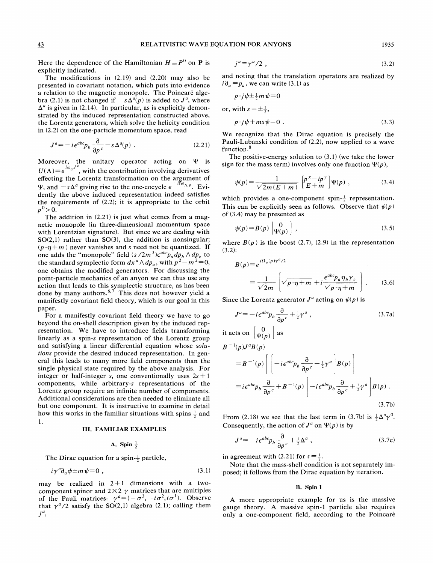Here the dependence of the Hamiltonian  $H \equiv P^0$  on **P** is explicitly indicated.

The modifications in (2.19) and (2.20) may also be presented in covariant notation, which puts into evidence a relation to the magnetic monopole. The Poincaré algebra (2.1) is not changed if  $-s\Delta^a(p)$  is added to  $J^a$ , where  $\Delta^a$  is given in (2.14). In particular, as is explicitly demonstrated by the induced representation constructed above, the Lorentz generators, which solve the helicity condition in (2.2) on the one-particle momentum space, read

$$
J^{a} = -i\epsilon^{abc}p_{b}\frac{\partial}{\partial p^{c}} - s\Delta^{a}(p) . \qquad (2.21)
$$

Moreover, the unitary operator acting on  $\Psi$  is Moreover, the unitary operator acting on  $\Psi$  is  $U(\Lambda) = e^{i\omega_a J^a}$ , with the contribution involving derivative effecting the Lorentz transformation on the argument of  $\Psi$ , and  $-s\Delta^a$  giving rise to the one-cocycle  $e^{-is\omega_{\Lambda,\rho}}$ . Evidently the above induced representation indeed satisfies the requirements of (2.2); it is appropriate to the orbit  $p^0 > 0$ .

The addition in (2.21) is just what comes from a magnetic monopole (in three-dimensional momentum space with Lorentzian signature). But since we are dealing with  $SO(2,1)$  rather than  $SO(3)$ , the addition is nonsingular;  $(p \cdot \eta + m)$  never vanishes and s need not be quantized. If one adds the "monopole" field  $(s/2m^3)\epsilon^{abc}p_a dp_b \wedge dp_c$  to the standard symplectic form  $dx^a \wedge dp_a$ , with  $p^2 - m^2 = 0$ , one obtains the modified generators. For discussing the point-particle mechanics of an anyon we can thus use any action that leads to this symplectic structure, as has been done by many authors.<sup>6,7</sup> This does not however yield a manifestly covariant field theory, which is our goal in this paper.

For a manifestly covariant field theory we have to go beyond the on-shell description given by the induced representation. We have to introduce fields transforming linearly as a spin-s representation of the Lorentz group and satisfying a linear differential equation whose solutions provide the desired induced representation. In general this leads to many more field components than the single physical state required by the above analysis. For integer or half-integer s, one conventionally uses  $2s+1$ components, while arbitrary-s representations of the Lorentz group require an infinite number of components. Additional considerations are then needed to eliminate all but one component. It is instructive to examine in detail how this works in the familiar situations with spins  $\frac{1}{2}$  and 1.

#### III. FAMILIAR EXAMPLES

### A. Spin  $\frac{1}{2}$

The Dirac equation for a spin- $\frac{1}{2}$  particle

$$
i\gamma^a\partial_a\psi \pm m\psi = 0 \tag{3.1}
$$

may be realized in  $2+1$  dimensions with a twocomponent spinor and  $2 \times 2$   $\gamma$  matrices that are multiples of the Pauli matrices:  $\gamma^a = (-\sigma^3, -i\sigma^2, i\sigma^1)$ . Observe that  $\gamma^a/2$  satisfy the SO(2,1) algebra (2.1); calling them  $j^a$ ,

$$
j^a = \gamma^a / 2 \tag{3.2}
$$

and noting that the translation operators are realized by  $i \partial_a = p_a$ , we can write (3.1) as

$$
p \cdot j\psi \pm \frac{1}{2}m\psi = 0
$$
  
or, with  $s = \pm \frac{1}{2}$ ,  

$$
p \cdot j\psi + ms\psi = 0
$$
. (3.3)

We recognize that the Dirac equation is precisely the Pauli-Lubanski condition of (2.2), now applied to a wave function.

The positive-energy solution to (3.1) (we take the lower sign for the mass term) involves only one function  $\Psi(p)$ ,

$$
\psi(p) = \frac{1}{\sqrt{2m(E+m)}} \left[ p^x - ip^y \right] \Psi(p) , \qquad (3.4)
$$

which provides a one-component spin- $\frac{1}{2}$  representation This can be explicitly seen as follows. Observe that  $\psi(p)$ of (3.4) may be presented as

$$
\psi(p) = B(p) \begin{bmatrix} 0 \\ \Psi(p) \end{bmatrix}, \qquad (3.5)
$$

where  $B(p)$  is the boost (2.7), (2.9) in the representation (3.2):

$$
B(p) = e^{i\Omega_a(p)\gamma^a/2}
$$
  
=  $\frac{1}{\sqrt{2m}} \left[ \sqrt{p \cdot \eta + m} + i \frac{\epsilon^{abc} p_a \eta_b \gamma_c}{\sqrt{p \cdot \eta + m}} \right].$  (3.6)

Since the Lorentz generator  $J^a$  acting on  $\psi(p)$  is

$$
J^{a} = -i\epsilon^{abc}p_{b}\frac{\partial}{\partial p^{c}} + \frac{1}{2}\gamma^{a} , \qquad (3.7a)
$$

it acts on 
$$
\begin{bmatrix} 0 \\ \Psi(p) \end{bmatrix}
$$
 as   
 $B^{-1}(p)J^aB(p)$ 

$$
=B^{-1}(p)\left[\left[-i\epsilon^{abc}p_b\frac{\partial}{\partial p^c}+\frac{1}{2}\gamma^a\right]B(p)\right]
$$
  

$$
=i\epsilon^{abc}p_b\frac{\partial}{\partial p^c}+B^{-1}(p)\left[-i\epsilon^{abc}p_b\frac{\partial}{\partial p^c}+\frac{1}{2}\gamma^a\right]B(p).
$$
 (3.7b)

From (2.18) we see that the last term in (3.7b) is  $\frac{1}{2}\Delta^a \gamma^0$ . Consequently, the action of  $J^a$  on  $\Psi(p)$  is by

$$
J^{a} = -i\epsilon^{abc}p_{b}\frac{\partial}{\partial p^{c}} + \frac{1}{2}\Delta^{a} , \qquad (3.7c)
$$

n agreement with (2.21) for  $s = \frac{1}{2}$ .

Note that the mass-shell condition is not separately imposed; it follows from the Dirac equation by iteration.

#### B. Spin 1

A more appropriate example for us is the massive gauge theory. A massive spin-1 particle also requires only a one-component field, according to the Poincaré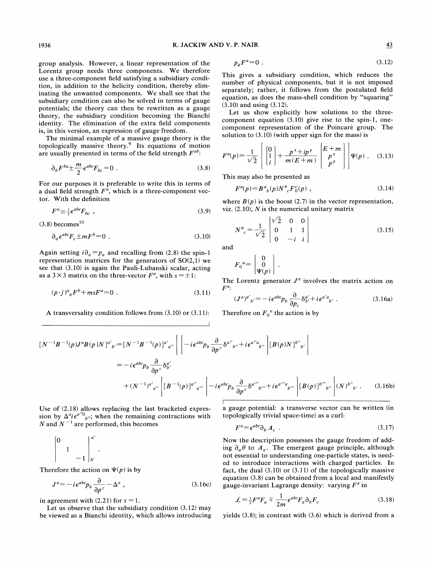group analysis. However, a linear representation of the Lorentz group needs three components. We therefore use a three-component field satisfying a subsidiary condition, in addition to the helicity condition, thereby eliminating the unwanted components. We shall see that the subsidiary condition can also be solved in terms of gauge potentials; the theory can then be rewritten as a gauge theory, the subsidiary condition becoming the Bianchi identity. The elimination of the extra field components is, in this version, an expression of gauge freedom.

The minimal example of a massive gauge theory is the topologically massive theory.<sup>9</sup> Its equations of motion are usually presented in terms of the field strength  $F^{ab}$ :

$$
\partial_b F^{ba} \pm \frac{m}{2} \epsilon^{abc} F_{bc} = 0 \tag{3.8}
$$

For our purposes it is preferable to write this in terms of a dual field strength  $F^{\bar{a}}$ , which is a three-component vector. With the definition

$$
F^a \equiv \frac{1}{2} \epsilon^{abc} F_{bc} \quad , \tag{3.9}
$$

 $(3.8)$  becomes<sup>10</sup>

$$
\partial_a \epsilon^{abc} F_c \pm mF^b = 0 \tag{3.10}
$$

Again setting  $i \partial_a = p_a$  and recalling from (2.8) the spin-1 representation matrices for the generators of  $SO(2,1)$  we see that (3.10) is again the Pauli-Lubanski scalar, acting as a  $3 \times 3$  matrix on the three-vector  $F^a$ , with  $s = \pm 1$ :

$$
(p \cdot j)^a{}_b F^b + msF^a = 0 \tag{3.11}
$$

A transversality condition follows from (3.10) or (3.11):

$$
p_a F^a = 0 \tag{3.12}
$$

This gives a subsidiary condition, which reduces the number of physical components, but it is not imposed separately; rather, it follows from the postulated field equation, as does the mass-shell condition by "squaring" (3.10) and using (3.12).

Let us show explicitly how solutions to the threecomponent equation (3.10) give rise to the spin-l, onecomponent representation of the Poincaré group. The solution to (3.10) (with upper sign for the mass) is

$$
F^{a}(p) = \frac{1}{\sqrt{2}} \left[ \begin{bmatrix} 0 \\ 1 \\ i \end{bmatrix} + \frac{p^{x} + ip^{y}}{m(E+m)} \begin{bmatrix} E+m \\ p^{x} \\ p^{y} \end{bmatrix} \right] \Psi(p) \quad (3.13)
$$

This may also be presented as

$$
F^a(p) = B^a{}_b(p) N^b{}_c F^c_0(p) , \qquad (3.14)
$$

where  $B(p)$  is the boost (2.7) in the vector representation, viz.  $(2.10)$ , N is the numerical unitary matrix

$$
N^{b}_{c} = \frac{1}{\sqrt{2}} \begin{bmatrix} \sqrt{2} & 0 & 0 \\ 0 & 1 & 1 \\ 0 & -i & i \end{bmatrix}
$$
 (3.15)

and

$$
F_0{}^a = \begin{bmatrix} 0 \\ 0 \\ \Psi(p) \end{bmatrix}.
$$

The Lorentz generator  $J<sup>a</sup>$  involves the matrix action on  $F^a$ .

$$
(J^a)^{a'}_{b'} = -i\epsilon^{abc}p_b \frac{\partial}{\partial p_c} \delta^{a'}_{b'} + i\epsilon^{a'a}_{b'}.
$$
 (3.16a)

Therefore on  $F_0^a$  the action is by

$$
\begin{split} \left[ N^{-1}B^{-1}(p)J^{a}B(p)N \right]^{a'}{}_{b'} &= \left[ N^{-1}B^{-1}(p) \right]^{a'}{}_{a''} \left[ \left[ -i\epsilon^{abc}p_{b} \frac{\partial}{\partial p^{c}} \delta^{a''}{}_{b''} + i\epsilon^{a''a}{}_{b''} \right] \left[ B(p)N \right]^{b''}{}_{b'} \right] \\ &= -i\epsilon^{abc}p_{b} \frac{\partial}{\partial p^{c}} \delta^{a'}_{b'} \\ &+ (N^{-1})^{a'}{}_{a''} \left[ \left[ B^{-1}(p) \right]^{a''}{}_{a'''} \left[ -i\epsilon^{abc}p_{b} \frac{\partial}{\partial p^{c}} \delta^{a'''}{}_{b'''} + i\epsilon^{a'''}{}_{b'''} \right] \left[ B(p) \right]^{b'''}{}_{b''} \right] (N)^{b''}{}_{b'} \,. \end{split} \tag{3.16b}
$$

Use of (2.18) allows replacing the last bracketed expression by  $\Delta^a i \epsilon^{a''0}{}_{b''}$ ; when the remaining contractions with N and  $N^{-1}$  are performed, this becomes  $F^a$ 

$$
\begin{bmatrix} 0 & & & \\ & 1 & & \\ & & -1 & \\ & & & -b' \end{bmatrix}^{a'}_{b'}.
$$

Therefore the action on  $\Psi(p)$  is by

$$
J^{a} = -i\epsilon^{abc}p_{b}\frac{\partial}{\partial p^{c}} - \Delta^{a} , \qquad (3.16c)
$$

in agreement with (2.21) for  $s = 1$ .

Let us observe that the subsidiary condition (3.12) may be viewed as a Bianchi identity, which allows introducing a gauge potential: a transverse vector can be written (in topologically trivial space-time) as a curl:

$$
F^a = \epsilon^{abc} \partial_b A_c \tag{3.17}
$$

Now the description possesses the gauge freedom of adding  $\partial_a \theta$  to  $A_a$ . The emergent gauge principle, although not essential to understanding one-particle states, is needed to introduce interactions with charged particles. In fact, the dual (3.10) or (3.11) of the topologically massive equation (3.8) can be obtained from a local and manifestly gauge-invariant Lagrange density: varying  $F^a$  in

$$
\mathcal{L} = \frac{1}{2}F^a F_a \mp \frac{1}{2m} \epsilon^{abc} F_a \partial_b F_c \tag{3.18}
$$

yields (3.8); in contrast with (3.6) which is derived from a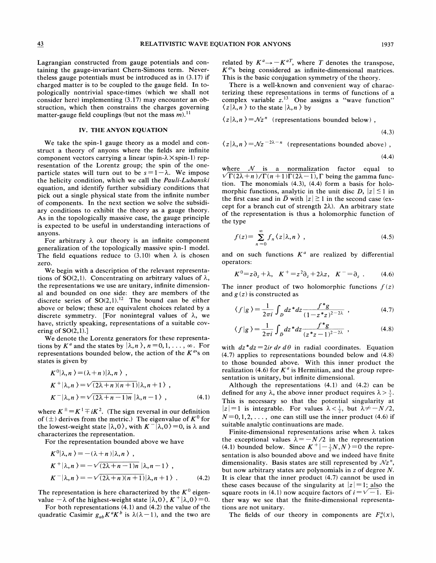Lagrangian constructed from gauge potentials and containing the gauge-invariant Chem-Simons term. Nevertheless gauge potentials must be introduced as in (3.17) if charged matter is to be coupled to the gauge field. In topologically nontrivial space-times (which we shall not consider here) implementing (3.17) may encounter an obstruction, which then constrains the charges governing matter-gauge field couplings (but not the mass  $m$ ).<sup>11</sup> matter-gauge field couplings (but not the mass  $m$ ).<sup>11</sup>

# IV. THE ANYON EQUATION

We take the spin-1 gauge theory as a model and construct a theory of anyons where the fields are infinite component vectors carrying a linear (spin- $\lambda \times$ spin-1) representation of the Lorentz group; the spin of the oneparticle states will turn out to be  $s=1-\lambda$ . We impose the helicity condition, which we call the Pauli-Lubanski equation, and identify further subsidiary conditions that pick out a single physical state from the infinite number of components. In the next section we solve the subsidiary conditions to exhibit the theory as a gauge theory. As in the topologically massive case, the gauge principle is expected to be useful in understanding interactions of anyons.

For arbitrary  $\lambda$  our theory is an infinite component generalization of the topologically massive spin-1 model. The field equations reduce to (3.10) when  $\lambda$  is chosen zero.

We begin with a description of the relevant representations of SO(2,1). Concentrating on arbitrary values of  $\lambda$ , the representations we use are unitary, infinite dimensional and bounded on one side: they are members of the discrete series of  $SO(2,1)$ .<sup>12</sup> The bound can be either above or below; these are equivalent choices related by a discrete symmetry. [For nonintegral values of  $\lambda$ , we have, strictly speaking, representations of a suitable covering of  $SO(2,1)$ .

We denote the Lorentz generators for these representations by  $K^a$  and the states by  $\lambda, n \lambda, n = 0, 1, \ldots, \infty$ . For representations bounded below, the action of the  $K^{a}$ 's on states is given by

$$
K^{0}|\lambda, n\rangle = (\lambda + n)|\lambda, n\rangle,
$$
  
\n
$$
K^{+}|\lambda, n\rangle = \sqrt{(2\lambda + n)(n+1)}|\lambda, n+1\rangle,
$$
  
\n
$$
K^{-}|\lambda, n\rangle = \sqrt{(2\lambda + n - 1)n} |\lambda, n-1\rangle,
$$
  
\n(4.1)

where  $K^{\pm} = K^{\pm} \mp iK^2$ . (The sign reversal in our definition of ( $\pm$ ) derives from the metric.) The eigenvalue of  $K^0$  for the lowest-weight state  $\vert \lambda, 0 \rangle$ , with  $K^{-} \vert \lambda, 0 \rangle = 0$ , is  $\lambda$  and characterizes the representation.

For the representation bounded above we have

$$
K^{0}|\lambda,n\rangle = -(\lambda+n)|\lambda,n\rangle,
$$
  
\n
$$
K^{+}|\lambda,n\rangle = -\sqrt{(2\lambda+n-1)n} |\lambda,n-1\rangle,
$$
  
\n
$$
K^{-}|\lambda,n\rangle = -\sqrt{(2\lambda+n)(n+1)}|\lambda,n+1\rangle.
$$
 (4.2)

The representation is here characterized by the  $K^0$  eigenvalue  $-\lambda$  of the highest-weight state  $|\lambda, 0\rangle$ ,  $K^+ |\lambda, 0\rangle = 0$ .

For both representations (4.1) and (4.2) the value of the quadratic Casimir  $g_{ab}K^aK^b$  is  $\lambda(\lambda-1)$ , and the two are

related by  $K^a \rightarrow -K^{aT}$ , where T denotes the transpose,  $K^{a}$ 's being considered as infinite-dimensional matrices. This is the basic conjugation symmetry of the theory.

There is a well-known and convenient way of characterizing these representations in terms of functions of a complex variable  $z<sup>13</sup>$  One assigns a "wave function"  $\langle z | \lambda, n \rangle$  to the state  $|\lambda, n \rangle$  by

$$
\langle z|\lambda, n \rangle = \mathcal{N}z^n
$$
 (representations bounded below),

$$
(4.3)
$$

$$
\langle z | \lambda, n \rangle = \mathcal{N} z^{-2\lambda - n}
$$
 (representations bounded above),

$$
(4.4)
$$

where  $N$  is a normalization factor equal to  $\sqrt{\Gamma(2\lambda + n)/\Gamma(n+1)}\Gamma(2\lambda-1)$ ,  $\Gamma$  being the gamma function. The monomials (4.3), (4.4) form a basis for holomorphic functions, analytic in the unit disc D,  $|z| \le 1$  in the first case and in  $\overline{D}$  with  $|z| \ge 1$  in the second case (except for a branch cut of strength  $2\lambda$ ). An arbitrary state of the representation is thus a holomorphic function of the type

$$
f(z) = \sum_{n=0}^{\infty} f_n \langle z | \lambda, n \rangle , \qquad (4.5)
$$

and on such functions  $K^a$  are realized by differential operators:

$$
K^{0}=z\partial_{z}+\lambda, K^{+}=z^{2}\partial_{z}+2\lambda z, K^{-}=\partial_{z}.
$$
 (4.6)

The inner product of two holomorphic functions  $f(z)$ and  $g(z)$  is constructed as

$$
\langle f|g \rangle = \frac{1}{2\pi i} \int_D dz^* dz \frac{f^*g}{(1 - z^*z)^{2 - 2\lambda}} , \qquad (4.7)
$$

$$
\langle f|g \rangle = \frac{1}{2\pi i} \int_D dz^* dz \frac{f^*g}{(z^*z - 1)^{2-2\lambda}},
$$
\n
$$
\langle f|g \rangle = \frac{1}{2\pi i} \int_{\bar{D}} dz^* dz \frac{f^*g}{(z^*z - 1)^{2-2\lambda}},
$$
\n(4.8)

with  $dz^*dz = 2ir dr d\theta$  in radial coordinates. Equation (4.7) applies to representations bounded below and (4.8) to those bounded above. With this inner product the realization (4.6) for  $K^a$  is Hermitian, and the group representation is unitary, but infinite dimensional.

Although the representations  $(4.1)$  and  $(4.2)$  can be Although the representations (4.1) and (4.2) can be defined for any  $\lambda$ , the above inner product requires  $\lambda > \frac{1}{2}$ . This is necessary so that the potential singularity at  $|z|=1$  is integrable. For values  $\lambda < \frac{1}{2}$ , but  $\lambda \neq -N/2$ ,  $N=0, 1, 2, \ldots$ , one can still use the inner product (4.6) if suitable analytic continuations are made.

Finite-dimensional representations arise when  $\lambda$  takes the exceptional values  $\lambda = -N/2$  in the representation 4.1) bounded below. Since  $K^+$   $\left(-\frac{1}{2}N, N\right)$  = 0 the representation sentation is also bounded above and we indeed have finite dimensionality. Basis states are still represented by  $\mathcal{N}z^n$ , but now arbitrary states are polynomials in z of degree N. It is clear that the inner product (4.7) cannot be used in these cases because of the singularity at  $|z| = 1$ ; also the square roots in (4.1) now acquire factors of  $i = \sqrt{-1}$ . Either way we see that the finite-dimensional representations are not unitary.

The fields of our theory in components are  $F_n^a(x)$ ,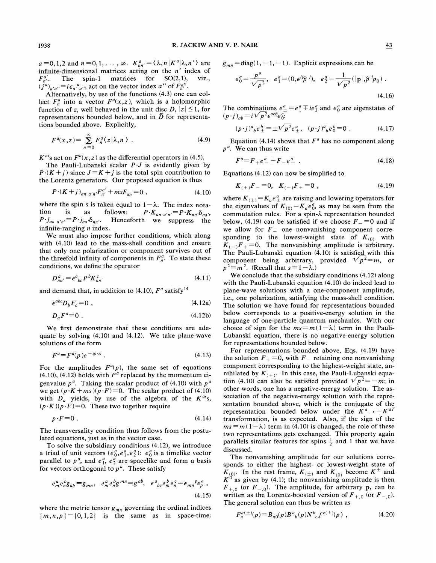$a=0, 1, 2$  and  $n=0, 1, \ldots, \infty$ .  $K_{nn'}^a = \langle \lambda, n | K^a | \lambda, n' \rangle$  are infinite-dimensional matrices acting on the  $n'$  index of  $F_{n'}^{a'}$ . The spin-1 matrices for SO(2,1), viz.,<br>  $(j'^a)_{a'a''} = i\epsilon_{a'}^a{}_{a''}$ , act on the vector index a'' of  $F_{n'}^{a''}$ .

Alternatively, by use of the functions (4.3) one can collect  $F_n^a$  into a vector  $F^a(x, z)$ , which is a holomorphic function of z, well behaved in the unit disc  $D$ ,  $|z| \le 1$ , for function of z, well behaved in the unit disc D,  $|z| \le 1$ , for representations bounded below, and in  $\tilde{D}$  for representations bounded above. Explicitly,

$$
F^{a}(x, z) = \sum_{n=0}^{\infty} F_{n}^{a}(z | \lambda, n). \qquad (4.9)
$$

 $K^{a}$ 's act on  $F^{a}(x, z)$  as the differential operators in (4.5).

The Pauli-Lubanski scalar  $P \cdot J$  is evidently given by  $P\cdot(K+j)$  since  $J=K+j$  is the total spin contribution to the Lorentz generators. Our proposed equation is thus

$$
P\cdot (K+j)_{an a'n'} F_{n'}^{a'} + msF_{an} = 0 , \qquad (4.10)
$$

where the spin s is taken equal to  $1-\lambda$ . The index notation is as follows:  $P \cdot K_{an} a'_{n'} = P \cdot K_{nn} \delta_{aa'}$ ,<br> $P \cdot j_{an} a'_{n'} = P \cdot j_{aa'} \delta_{nn'}$ . Henceforth we suppress the Henceforth we suppress the infinite-ranging  $n$  index.

We must also impose further conditions, which along with (4.10) lead to the mass-shell condition and ensure that only one polarization or component survives out of the threefold infinity of components in  $F_n^a$ . To state these conditions, we define the operator

$$
D_{nn'}^a = \epsilon^a{}_{bc} P^b K_{nn'}^c \tag{4.11}
$$

and demand that, in addition to (4.10),  $F^a$  satisfy<sup>14</sup>

$$
\epsilon^{abc} D_b F_c = 0 \tag{4.12a}
$$

$$
D_a F^a = 0 \tag{4.12b}
$$

We first demonstrate that these conditions are adequate by solving (4.10) and (4.12). We take plane-wave solutions of the form

$$
F^a = F^a(p) e^{-ip \cdot x} \tag{4.13}
$$

For the amplitudes  $F^{\alpha}(p)$ , the same set of equations (4.10), (4.12) holds with  $P^a$  replaced by the momentum eigenvalue  $p^a$ . Taking the scalar product of (4.10) with  $p^a$ we get  $(p \cdot K + ms)(p \cdot F) = 0$ . The scalar product of (4.10) with  $D_a$  yields, by use of the algebra of the  $K^{a}$ 's,  $(p \cdot K)(p \cdot F)=0$ . These two together require

$$
p \cdot F = 0 \tag{4.14}
$$

The transversality condition thus follows from the postulated equations, just as in the vector case.

To solve the subsidiary conditions (4.12), we introduce a triad of unit vectors  $(e_0^a, e_1^a, e_2^a)$ :  $e_0^a$  is a timelike vector parallel to  $p^a$ , and  $e_1^a$ ,  $e_2^a$  are spacelike and form a basis for vectors orthogonal to  $p^a$ . These satisfy

$$
e_m^a e_n^b g_{ab} = g_{mn}, \quad e_m^a e_n^b g^{mn} = g^{ab}, \quad e^a{}_{bc} e_m^b e_n^c = \epsilon_{mn}{}^p e_p^a \tag{4.15}
$$

where the metric tensor  $g_{mn}$  governing the ordinal indices  $[m, n, p] = [0, 1, 2]$  is the same as in space-time

 $g_{mn} = \text{diag}(1, -1, -1)$ . Explicit expressions can be

$$
e_0^a = \frac{p^a}{\sqrt{p^2}}, \quad e_1^a = (0, \epsilon^{ij}\hat{p}^j), \quad e_2^a = \frac{1}{\sqrt{p^2}}(|\mathbf{p}|, \hat{p}^i p_0).
$$
 (4.16)

The combinations  $e_{\pm}^a = e_1^a \mp ie_2^a$  and  $e_0^a$  are eigenstates of  $(p \cdot j)_{ab} = i \sqrt{p^2} \epsilon^{acb} e_0^c$ .

$$
(p \cdot j)^a{}_b e^b_\pm = \pm \sqrt{p^2} e^a_\pm, \quad (p \cdot j)^a{}_b e^b_0 = 0 \tag{4.17}
$$

Equation (4.14) shows that  $F^a$  has no component along  $p^a$ . We can thus write

$$
F^a = F_+ e_-^a + F_- e_+^a \t\t(4.18)
$$

Equations (4.12) can now be simplified to

$$
K_{(+)}F_{-}=0, K_{(-)}F_{+}=0, \qquad (4.19)
$$

where  $K_{(\pm)} = K_a e_{\pm}^a$  are raising and lowering operators for the eigenvalues of  $K_{(0)} = K_a e_0^a$ , as may be seen from the commutation rules. For a spin- $\lambda$  representation bounded below, (4.19) can be satisfied if we choose  $F = 0$  and if we allow for  $F_+$  one nonvanishing component corresponding to the lowest-weight state of  $K_{(0)}$  with  $K_{(-)}F_{+}$  =0. The nonvanishing amplitude is arbitrary. The Pauli-Lubanski equation (4.10) is satisfied with this component being arbitrary, provided  $\sqrt{p^2} = m$ , or  $p^2 = m^2$ . (Recall that  $s = 1 - \lambda$ .)

We conclude that the subsidiary conditions (4.12) along with the Pauli-Lubanski equation (4.10) do indeed lead to plane-wave solutions with a one-component amplitude, i.e., one polarization, satisfying the mass-shell condition. The solution we have found for representations bounded below corresponds to a positive-energy solution in the language of one-particle quantum mechanics. With our choice of sign for the  $ms = m(1 - \lambda)$  term in the Pauli-Lubanski equation, there is no negative-energy solution for representations bounded below.

For representations bounded above, Eqs. (4.19) have the solution  $F_+ = 0$ , with  $F_-$  retaining one nonvanishing component corresponding to the highest-weight state, annihilated by  $K_{(+)}.$  In this case, the Pauli-Lubanski equation (4.10) can also be satisfied provided  $\sqrt{p^2} = -m$ ; in other words, one has a negative-energy solution. The association of the negative-energy solution with the representation bounded above, which is the conjugate of the representation bounded below under the  $K^a \rightarrow -K^{aT}$ transformation, is as expected. Also, if the sign of the  $ms = m(1-\lambda)$  term in (4.10) is changed, the role of these two representations gets exchanged. This property again parallels similar features for spins  $\frac{1}{2}$  and 1 that we have discussed.

The general solution can thus be written as The nonvanishing amplitude for our solutions corresponds to either the highest- or lowest-weight state of  $K_{(0)}$ . In the rest frame,  $K_{(\pm)}$  and  $K_{(0)}$  become  $K^{\pm}$  and  $K^0$  as given by (4.1); the nonvanishing amplitude is then  $F_{+,0}$  (or  $F_{-,0}$ ). The amplitude, for arbitrary p, can be written as the Lorentz-boosted version of  $F_{+,0}$  (or  $F_{-,0}$ ).

$$
F_n^{a(\pm)}(p) = B_{n0}(p)B^a{}_b(p)N^b{}_c f^{c(\pm)}(p) , \qquad (4.20)
$$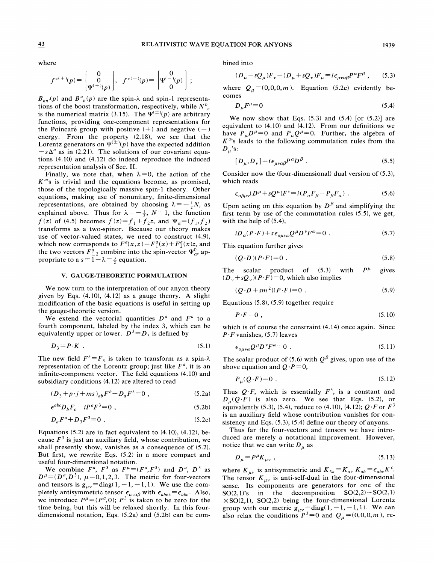where

$$
f^{c(+)}(p) = \begin{bmatrix} 0 \\ 0 \\ \Psi^{(+)}(p) \end{bmatrix}, \ \ f^{c(-)}(p) = \begin{bmatrix} 0 \\ \Psi^{(-)}(p) \\ 0 \end{bmatrix};
$$

 $B_{nn'}(p)$  and  $B^a{}_b(p)$  are the spin- $\lambda$  and spin-1 representations of the boost transformation, respectively, while  $N_{c}^{b}$ is the numerical matrix (3.15). The  $\hat{\Psi}^{(\pm)}(p)$  are arbitrary functions, providing one-component representations for the Poincaré group with positive  $(+)$  and negative  $(-)$ energy. From the property (2.18), we see that the Lorentz generators on  $\Psi^{(\pm)}(p)$  have the expected addition  $-\mathsf{s}\Delta^a$  as in (2.21). The solutions of our covariant equations (4.10) and (4.12) do indeed reproduce the induced representation analysis of Sec. II.

Finally, we note that, when  $\lambda = 0$ , the action of the  $K^{a}$ 's is trivial and the equations become, as promised, those of the topologically massive spin-1 theory. Other equations, making use of nonunitary, finite-dimensional representations, are obtained by choosing  $\lambda = -\frac{1}{2}N$ , as explained above. Thus for  $\lambda = -\frac{1}{2}$ ,  $N=1$ , the function  $f(z)$  of (4.5) becomes  $f(z) = f_1 + f_2z$ , and  $\Psi_\alpha = (f_1, f_2)$ <br>transforms as a two-spinor. Because our theory makes use of vector-valued states, we need to construct (4.9), which now corresponds to  $F^a(x, z) = F^a_1(x) + F^a_2(x)z$ , and which now corresponds to  $F(x, z) = F_1(x) + F_2(x)z$ , and<br>the two vectors  $F_{1,2}^a$  combine into the spin-vector  $\Psi_\alpha^0$ , appropriate to a  $s = 1 - \lambda = \frac{3}{2}$  equation.

#### V. GAUGE-THEORETIC FORMULATION

We now turn to the interpretation of our anyon theory given by Eqs.  $(4.10)$ ,  $(4.12)$  as a gauge theory. A slight modification of the basic equations is useful in setting up the gauge-theoretic version.

We extend the vectorial quantities  $D^a$  and  $F^a$  to a fourth component, labeled by the index 3, which can be equivalently upper or lower.  $D^3 = D_3$  is defined by

$$
D_3 = P \cdot K \tag{5.1}
$$

The new field  $F^3 = F_3$  is taken to transform as a spin- $\lambda$ representation of the Lorentz group; just like  $F^a$ , it is an infinite-component vector. The field equations (4.10) and subsidiary conditions (4.12) are altered to read

$$
(D_3 + p \cdot j + ms)_{ab} F^b - D_a F^3 = 0 , \qquad (5.2a)
$$

$$
\epsilon^{abc} D_b F_c - i P^a F^3 = 0 \tag{5.2b}
$$

$$
D_a F^a + D_3 F^3 = 0 \tag{5.2c}
$$

Equations  $(5.2)$  are in fact equivalent to  $(4.10)$ ,  $(4.12)$ , because  $F<sup>3</sup>$  is just an auxiliary field, whose contribution, we shall presently show, vanishes as a consequence of (5.2). But first, we rewrite Eqs. (5.2) in a more compact and useful four-dimensional notation.

We combine  $F^a$ ,  $F^3$  as  $F^{\mu} = (F^a, F^3)$  and  $D^a$ ,  $D^3$  as  $D^{\mu} = (D^a, D^3), \mu = 0, 1, 2, 3.$  The metric for four-vectors<br>and tensors is  $g_{\mu\nu} = \text{diag}(1, -1, -1, 1)$ . We use the completely antisymmetric tensor  $\epsilon_{\mu\nu\alpha\beta}$  with  $\epsilon_{abc3} = \epsilon_{abc}$ . Also, we introduce  $P^{\mu} = (P^a, 0)$ ;  $P^3$  is taken to be zero for the time being, but this will be relaxed shortly. In this fourdimensional notation, Eqs. (5.2a) and (5.2b) can be combined into

$$
(D_{\mu} + sQ_{\mu})F_{\nu} - (D_{\mu} + sQ_{\nu})F_{\mu} = i\epsilon_{\mu\nu\alpha\beta}P^{\alpha}F^{\beta} ,\qquad(5.3)
$$

where  $Q_u = (0, 0, 0, m)$ . Equation (5.2c) evidently becomes

$$
D_{\mu}F^{\mu}=0\tag{5.4}
$$

We now show that Eqs.  $(5.3)$  and  $(5.4)$  [or  $(5.2)$ ] are equivalent to (4.10) and (4.12). From our definitions we have  $P_{\mu}D^{\mu}=0$  and  $P_{\mu}Q^{\mu}=0$ . Further, the algebra of  $K^{a}$ 's leads to the following commutation rules from the  $D_\mu$ 's:

$$
D_{\mu}, D_{\nu}] = i\epsilon_{\mu\nu\alpha\beta} P^{\alpha} D^{\beta} . \qquad (5.5)
$$

Consider now the (four-dimensional) dual version of (5.3), which reads

$$
\varepsilon_{\alpha\beta\mu\nu}(D^{\mu} + sQ^{\mu})F^{\nu} = i(P_{\alpha}F_{\beta} - P_{\beta}F_{\alpha}).
$$
 (5.6)

Upon acting on this equation by  $D^{\beta}$  and simplifying the first term by use of the commutation rules (5.5), we get, with the help of (5.4),

$$
iD_{\alpha}(P\cdot F) + s\epsilon_{\alpha\mu\nu\omega}Q^{\mu}D^{\nu}F^{\omega} = 0.
$$
 (5.7)

This equation further gives

$$
(Q \cdot D)(P \cdot F) = 0 \tag{5.8}
$$

The scalar product of  $(5.3)$  with  $P^{\mu}$  gives  $(D_v + sQ_v)(P \cdot F) = 0$ , which also implies

$$
(Q \cdot D + sm^2)(P \cdot F) = 0 \tag{5.9}
$$

Equations (5.8), (5.9) together require

$$
P \cdot F = 0 \tag{5.10}
$$

which is of course the constraint (4.14) once again. Since  $P \cdot F$  vanishes, (5.7) leaves

$$
D_3 = P \cdot K \tag{5.1}
$$
\n
$$
\epsilon_{\alpha\mu\nu\rho} Q^{\mu} D^{\nu} F^{\omega} = 0 \tag{5.11}
$$

The scalar product of (5.6) with  $Q^{\beta}$  gives, upon use of the above equation and  $Q \cdot P = 0$ ,

$$
P_{\mu}(Q \cdot F) = 0 \tag{5.12}
$$

Thus  $Q \cdot F$ , which is essentially  $F^3$ , is a constant and  $D_{\mu}(Q \cdot F)$  is also zero. We see that Eqs. (5.2), or equivalently (5.3), (5.4), reduce to (4.10), (4.12);  $Q \cdot F$  or  $F^3$ is an auxiliary field whose contribution vanishes for consistency and Eqs. (5.3), (5.4) define our theory of anyons.

Thus far the four-vectors and tensors we have introduced are merely a notational improvement. However, notice that we can write  $D_{\mu}$  as

$$
D_{\mu} = P^{\mu} K_{\mu\nu} \tag{5.13}
$$

where  $K_{uv}$  is antisymmetric and  $K_{3a} = K_a$ ,  $K_{ab} = \epsilon_{abc} K^c$ . The tensor  $K_{\mu\nu}$  is anti-self-dual in the four-dimensional sense. Its components are generators for one of the  $SO(2,1)$ 's in the decomposition  $SO(2,2) \sim SO(2,1)$  $\times$ SO(2,1), SO(2,2) being the four-dimensional Lorentz group with our metric  $g_{\mu\nu} = \text{diag}(1, -1, -1, 1)$ . We can also relax the conditions  $P^3 = 0$  and  $Q_\mu = (0,0,0,m)$ , re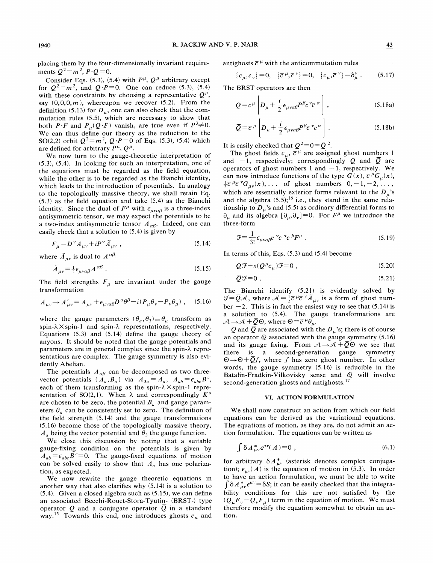placing them by the four-dimensionally invariant requirements  $Q^2 = m^2$ ,  $P \cdot Q = 0$ .

Consider Eqs. (5.3), (5.4) with  $P^{\mu}$ ,  $Q^{\mu}$  arbitrary except for  $Q^2 = m^2$ , and  $Q \cdot P = 0$ . One can reduce (5.3), (5.4) with these constraints by choosing a representative  $Q^{\mu}$ , say  $(0,0,0,m)$ , whereupon we recover  $(5.2)$ . From the definition (5.13) for  $D_{\mu}$ , one can also check that the commutation rules (5.5), which are necessary to show that both  $P \cdot F$  and  $P_u(Q \cdot F)$  vanish, are true even if  $P^3 \neq 0$ . We can thus define our theory as the reduction to the SO(2,2) orbit  $Q^2 = m^2$ ,  $Q \cdot P = 0$  of Eqs. (5.3), (5.4) which are defined for arbitrary  $P^{\mu}$ ,  $Q^{\mu}$ .

We now turn to the gauge-theoretic interpretation of (5.3), (5.4). In looking for such an interpretation, one of the equations must be regarded as the field equation, while the other is to be regarded as the Bianchi identity, which leads to the introduction of potentials. In analogy to the topologically massive theory, we shall retain Eq. (5.3) as the field equation and take (5.4) as the Bianchi identity. Since the dual of  $F^{\mu}$  with  $\epsilon_{\mu\nu\alpha\beta}$  is a three-index antisymmetric tensor, we may expect the potentials to be a two-index antisymmetric tensor  $A_{\alpha\beta}$ . Indeed, one can easily check that a solution to (5.4) is given by

$$
F_{\mu} = D^{\nu} A_{\mu\nu} + i P^{\nu} \tilde{A}_{\mu\nu} \tag{5.14}
$$

where  $\widetilde{A}_{\mu\nu}$  is dual to  $A^{\alpha\beta}$ :

$$
\widetilde{A}_{\mu\nu} = \frac{1}{2} \epsilon_{\mu\nu\alpha\beta} A^{\alpha\beta} \tag{5.15}
$$

The field strengths  $F_u$  are invariant under the gauge transformation

$$
A_{\mu\nu} \to A'_{\mu\nu} = A_{\mu\nu} + \epsilon_{\mu\nu\alpha\beta} D^{\alpha} \theta^{\beta} - i (P_{\mu} \theta_{\nu} - P_{\nu} \theta_{\mu}) \ , \quad (5.16)
$$

where the gauge parameters  $(\theta_a, \theta_3) \equiv \theta_\mu$  transform as spin- $\lambda \times$ spin-1 and spin- $\lambda$  representations, respectively. Equations (5.3) and (5.14) define the gauge theory of anyons. It should be noted that the gauge potentials and parameters are in general complex since the spin- $\lambda$  representations are complex. The gauge symmetry is also evidently Abelian.

The potentials  $A_{\alpha\beta}$  can be decomposed as two threevector potentials  $(\dot{A}_a, B_a)$  via  $A_{3a} = A_a$ ,  $A_{ab} = \epsilon_{abc} B^c$ , each of them transforming as the spin- $\lambda \times$ spin-1 representation of SO(2,1). When  $\lambda$  and correspondingly  $K^a$ are chosen to be zero, the potential  $B_a$  and gauge parameters  $\theta_a$  can be consistently set to zero. The definition of the field strength (5.14) and the gauge transformations (5.16) become those of the topologically massive theory,  $A_a$  being the vector potential and  $\theta_3$  the gauge function.

We close this discussion by noting that a suitable gauge-fixing condition on the potentials is given by  $A_{ab} = \epsilon_{abc}B^c = 0$ . The gauge-fixed equations of motion can be solved easily to show that  $A_a$  has one polarization, as expected.

We now rewrite the gauge theoretic equations in another way that also clarifies why (5.14) is a solution to  $(5.4)$ . Given a closed algebra such as  $(5.15)$ , we can define an associated Becchi-Rouet-Stora-Tyutin- (BRST-) type operator Q and a conjugate operator  $\overline{Q}$  in a standard way.<sup>15</sup> Towards this end, one introduces ghosts  $c_{\mu}$  and antighosts  $\overline{c}^{\mu}$  with the anticommutation rules

$$
\{c_{\mu}, c_{\nu}\} = 0, \quad \{\bar{c}^{\mu}, \bar{c}^{\nu}\} = 0, \quad \{c_{\mu}, \bar{c}^{\nu}\} = \delta_{\mu}^{\nu} . \tag{5.17}
$$

The BRST operators are then

$$
Q = c^{\mu} \left[ D_{\mu} + \frac{i}{2} \epsilon_{\mu\nu\alpha\beta} P^{\beta} c^{\nu} \overline{c}^{\alpha} \right],
$$
 (5.18a)

$$
\overline{Q} = \overline{c}^{\mu} \left[ D_{\mu} + \frac{i}{2} \epsilon_{\mu\nu\alpha\beta} P^{\beta} \overline{c}^{\nu} c^{\alpha} \right].
$$
 (5.18b)

It is easily checked that  $Q^2 = 0 = \overline{Q}^2$ .

The ghost fields  $c_{\mu}$ ,  $\overline{c}^{\mu}$  are assigned ghost numbers 1 and  $-1$ , respectively; correspondingly Q and  $\overline{Q}$  are operators of ghost numbers 1 and  $-1$ , respectively. We can now introduce functions of the type  $G(x)$ ,  $\overline{c}^{\mu}G_{\mu}(x)$ ,  $\frac{1}{2} \overline{c}^{\mu} \overline{c}^{\nu} G_{\mu\nu}(x), \dots$  of ghost numbers  $0, -1, -2, \dots,$ which are essentially exterior forms relevant to the  $D_{\mu}$ 's and the algebra  $(5.5)$ ;<sup>16</sup> i.e., they stand in the same relationship to  $D_{\mu}$ 's and (5.5) as ordinary differential forms to  $\partial_{\mu}$  and its algebra  $[\partial_{\mu}, \partial_{\nu}] = 0$ . For  $F^{\mu}$  we introduce the three-form

$$
\mathcal{J} = \frac{1}{3!} \epsilon_{\mu\nu\alpha\beta} \bar{c}^{\nu} \bar{c}^{\alpha} \bar{c}^{\beta} F^{\mu} . \qquad (5.19)
$$

In terms of this, Eqs. (5.3) and (5.4) become

$$
Q\mathcal{F} + s(Q^{\mu}c_{\mu})\mathcal{F} = 0 , \qquad (5.20)
$$

$$
\overline{Q}\mathcal{F} = 0. \tag{5.21}
$$

The Bianchi identify (5.21) is evidently solved by  $\vec{\chi} = \vec{Q}A$ , where  $A = \frac{1}{2}\vec{c}^{\mu}\vec{c}^{\nu}\vec{A}_{\mu\nu}$  is a form of ghost number  $-2$ . This is in fact the easiest way to see that (5.14) is a solution to (5.4). The gauge transformations are  $\mathcal{A} \rightarrow \mathcal{A} + \overline{Q} \Theta$ , where  $\Theta = \overline{c}^{\mu} \theta_{\mu}$ .

Q and  $\overline{Q}$  are associated with the  $D_{\mu}$ 's; there is of course an operator  $Q$  associated with the gauge symmetry (5.16) and its gauge fixing. From  $A \rightarrow A + \overline{Q} \Theta$  we see that there is a second-generation gauge symmetry  $\Theta \rightarrow \Theta + \overline{Q}f$ , where f has zero ghost number. In other words, the gauge symmetry (5.16) is reducible in the Batalin-Fradkin-Vilkovisky sense and Q will involve second-generation ghosts and antighosts.<sup>17</sup>

#### VI. ACTION FORMULATION

We shall now construct an action from which our field equations can be derived as the variational equations. The equations of motion, as they are, do not admit an action formulation. The equations can be written as

$$
\int \delta A_{\mu\nu}^* \epsilon^{\mu\nu}(A) = 0 , \qquad (6.1)
$$

for arbitrary  $\delta A_{\mu\nu}^{*}$  (asterisk denotes complex conjugation);  $\epsilon_{\mu\nu}(A)$  is the equation of motion in (5.3). In order to have an action formulation, we must be able to write  $\int \delta A_{\mu\nu}^* \epsilon^{\mu\nu} = \delta S$ ; it can be easily checked that the integrability conditions for this are not satisfied by the  $(Q_{\mu}F_{\nu}-Q_{\nu}F_{\mu})$  term in the equation of motion. We must therefore modify the equation somewhat to obtain an action.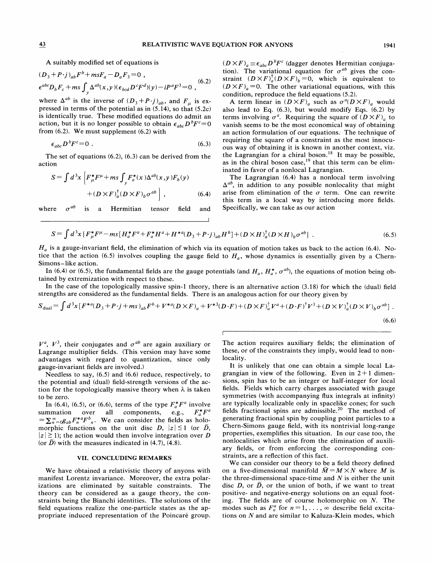A suitably modified set of equations is

$$
(D_3 + P \cdot j)_{ab} F^b + m s F_a - D_a F_3 = 0,
$$
  

$$
\epsilon^{abc} D_b F_c + m s \int_y \Delta^{ab}(x, y) (\epsilon_{bcd} D^c F^d)(y) - i P^a F^3 = 0,
$$
 (6.2)

where  $\Delta^{ab}$  is the inverse of  $(D_3+P\cdot j)_{ab}$ , and  $F_\mu$  is expressed in terms of the potential as in (5.14), so that (5.2c) is identically true. These modified equations do admit an action, but it is no longer possible to obtain  $\epsilon_{abc} D^b F^c = 0$ from (6.2). We must supplement (6.2) with

$$
\epsilon_{abc} D^b F^c = 0 \tag{6.3}
$$

The set of equations (6.2), (6.3) can be derived from the action

$$
S = \int d^3x \left[ F^*_{\mu} F^{\mu} + ms \int_y F^*_{a}(x) \Delta^{ab}(x, y) F_b(y) + (D \times F)^{\dagger}_{a} (D \times F)_{b} \sigma^{ab} \right],
$$
 (6.4)

where  $\sigma^{ab}$  is a Hermitian tensor field and

 $(D \times F)_a \equiv \epsilon_{abc} D^b F^c$  (dagger denotes Hermitian conjugation). The variational equation for  $\sigma^{ab}$  gives the constraint  $(D \times F)^{\dagger}_a(D \times F)_b = 0$ , which is equivalent to  $(D \times F)_{a}$ =0. The other variational equations, with this condition, reproduce the field equations (5.2).

A term linear in  $(D \times F)$ <sub>a</sub> such as  $\sigma^d(D \times F)$ <sub>a</sub> would also lead to Eq. (6.3), but would modify Eqs. (6.2) by terms involving  $\sigma^a$ . Requiring the square of  $(D \times F)_a$  to vanish seems to be the most economical way of obtaining an action formulation of our equations. The technique of requiring the square of a constraint as the most innocuous way of obtaining it is known in another context, viz. the Lagrangian for a chiral boson.<sup>18</sup> It may be possible, as in the chiral boson case,<sup>19</sup> that this term can be eliminated in favor of a nonlocal Lagrangian.

The Lagrangian (6.4) has a nonlocal term involving  $\Delta^{ab}$ , in addition to any possible nonlocality that might arise from elimination of the  $\sigma$  term. One can rewrite this term in a local way by introducing more fields. Specifically, we can take as our action

$$
S = \int d^3x \left\{ F^*_{\mu} F^{\mu} - ms \left[ H^*_{a} F^a + F^*_{a} H^a + H^{*a} (D_3 + P \cdot j)_{ab} H^b \right] + (D \times H)^{\dagger}_{a} (D \times H)_{b} \sigma^{ab} \right\} \ . \tag{6.5}
$$

 $H_a$  is a gauge-invariant field, the elimination of which via its equation of motion takes us back to the action (6.4). Notice that the action (6.5) involves coupling the gauge field to  $H_a$ , whose dynamics is essentially given by a Chern-Simons —like action.

In (6.4) or (6.5), the fundamental fields are the gauge potentials (and  $H_a$ ,  $H_a^*$ ,  $\sigma^{ab}$ ), the equations of motion being obtained by extremization with respect to these.

In the case of the topologically massive spin-1 theory, there is an alternative action (3.18) for which the (dual) field strengths are considered as the fundamental fields. There is an analogous action for our theory given by

$$
S_{\text{dual}} = \int d^3x \left[ F^{*a} (D_3 + P \cdot j + ms)_{ab} F^b + V^{*a} (D \times F)_a + V^{*3} (D \cdot F) + (D \times F)_a^{\dagger} V^a + (D \cdot F)^{\dagger} V^3 + (D \times V)_a^{\dagger} (D \times V)_b \sigma^{ab} \right].
$$
\n(6.6)

 $V^a$ ,  $V^3$ , their conjugates and  $\sigma^{ab}$  are again auxiliary or Lagrange multiplier fields. (This version may have some advantages with regard to quantization, since only gauge-invariant fields are involved. )

Needless to say, (6.5) and (6.6) reduce, respectively, to the potential and (dual) field-strength versions of the action for the topologically massive theory when  $\lambda$  is taken to be zero.

In (6.4), (6.5), or (6.6), terms of the type  $F_a^*F^a$  involve summation over all components, e.g.,  $F_a^*F^a$  ${}_{0}S_{ab}F_{n}^{*a}F_{n}^{b}$ . We can consider the fields as holomorphic functions on the unit disc D,  $|z| \le 1$  (or  $\tilde{D}$ ,  $|z| \ge 1$ ); the action would then involve integration over D (or  $\tilde{D}$ ) with the measures indicated in (4.7), (4.8).

## VII. CONCLUDING REMARKS

We have obtained a relativistic theory of anyons with manifest Lorentz invariance. Moreover, the extra polarizations are eliminated by suitable constraints. The theory can be considered as a gauge theory, the constraints being the Bianchi identities. The solutions of the field equations realize the one-particle states as the appropriate induced representation of the Poincaré group. The action requires auxiliary fields; the elimination of these, or of the constraints they imply, would lead to nonlocality.

It is unlikely that one can obtain a simple local Lagrangian in view of the following. Even in  $2+1$  dimensions, spin has to be an integer or half-integer for local fields. Fields which carry charges associated with gauge symmetries (with accompanying fiux integrals at infinity) are typically localizable only in spacelike cones; for such fields fractional spins are admissible.<sup>20</sup> The method of generating fractional spin by coupling point particles to a Chem-Simons gauge field, with its nontrivial long-range properties, exemplifies this situation. In our case too, the nonlocalities which arise from the elimination of auxiliary fields, or from enforcing the corresponding constraints, are a reflection of this fact.

We can consider our theory to be a field theory defined on a five-dimensional manifold  $\tilde{M} = M \times N$  where M is the three-dimensional space-time and  $N$  is either the unit disc D, or  $\tilde{D}$ , or the union of both, if we want to treat positive- and negative-energy solutions on an equal footing. The fields are of course holomorphic on N. The mg. The netas are or course notomorphic on N. The<br>modes such as  $F_n^a$  for  $n = 1, ..., \infty$  describe field excitations on X and are similar to Kaluza-Klein modes, which